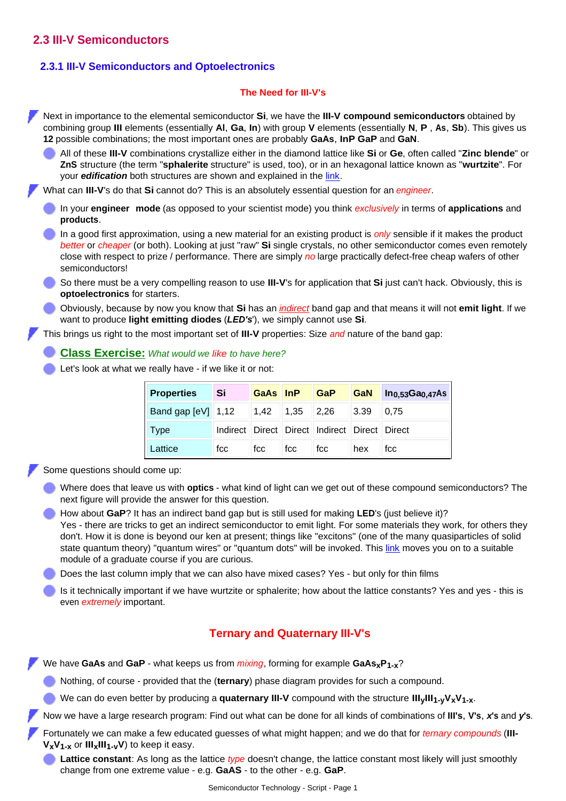# **2.3 III-V Semiconductors**

#### **2.3.1 III-V Semiconductors and Optoelectronics**

#### **The Need for III-V's**

Next in importance to the elemental semiconductor **Si**, we have the **III-V compound semiconductors** obtained by combining group **III** elements (essentially **Al**, **Ga**, **In**) with group **V** elements (essentially **N**, **P** , **As**, **Sb**). This gives us **12** possible combinations; the most important ones are probably **GaAs**, **InP GaP** and **GaN**.

All of these **III-V** combinations crystallize either in the diamond lattice like **Si** or **Ge**, often called "**Zinc blende**" or **ZnS** structure (the term "**sphalerite** structure" is used, too), or in an hexagonal lattice known as "**wurtzite**". For your *edification* both structures are shown and explained in the [link.](http://www.tf.uni-kiel.de/matwis/amat/semitech_en/kap_2/illustr/i2_1_2.html)

What can **III-V**'s do that **Si** cannot do? This is an absolutely essential question for an *engineer*.

- In your **engineer mode** (as opposed to your scientist mode) you think *exclusively* in terms of **applications** and **products**.
- In a good first approximation, using a new material for an existing product is *only* sensible if it makes the product *better* or *cheaper* (or both). Looking at just "raw" **Si** single crystals, no other semiconductor comes even remotely close with respect to prize / performance. There are simply *no* large practically defect-free cheap wafers of other semiconductors!
- So there must be a very compelling reason to use **III-V**'s for application that **Si** just can't hack. Obviously, this is **optoelectronics** for starters.
- Obviously, because by now you know that **Si** has an *[indirect](http://www.tf.uni-kiel.de/matwis/amat/mw2_ge/kap_4/backbone/r4_3_2.html)* band gap and that means it will not **emit light**. If we want to produce **light emitting diodes** (*LED's*'), we simply cannot use **Si**.

This brings us right to the most important set of **III-V** properties: Size *and* nature of the band gap:

- **[Class Exercise:](http://www.tf.uni-kiel.de/matwis/amat/semitech_en/kap_2/exercise/q2_3_1.html)** *What would we like to have here?*
- Let's look at what we really have if we like it or not:

| <b>Properties</b>    | <b>Si</b> | GaAs InP GaP                                       |     |                                                              |                               | $\parallel$ GaN $\parallel$ In $_{0.53}$ Ga $_{0.47}$ As $\parallel$ |
|----------------------|-----------|----------------------------------------------------|-----|--------------------------------------------------------------|-------------------------------|----------------------------------------------------------------------|
| Band gap $[eV]$ 1,12 |           | $\parallel$ 1,42 $\parallel$ 1,35 $\parallel$ 2,26 |     |                                                              | $\vert 3.39 \vert \vert 0.75$ |                                                                      |
| <b>Type</b>          |           |                                                    |     | Indirect    Direct    Direct    Indirect    Direct    Direct |                               |                                                                      |
| Lattice              | fcc       | l fcc                                              | fcc | fcc                                                          | hex                           | fcc                                                                  |

Some questions should come up:

- Where does that leave us with **optics** what kind of light can we get out of these compound semiconductors? The next figure will provide the answer for this question.
- How about **GaP**? It has an indirect band gap but is still used for making **LED**'s (just believe it)? Yes - there are tricks to get an indirect semiconductor to emit light. For some materials they work, for others they don't. How it is done is beyond our ken at present; things like "excitons" (one of the many quasiparticles of solid state quantum theory) "quantum wires" or "quantum dots" will be invoked. This [link](http://www.tf.uni-kiel.de/matwis/amat/semi_en/kap_5/backbone/r5_1_3.html) moves you on to a suitable module of a graduate course if you are curious.
- Does the last column imply that we can also have mixed cases? Yes but only for thin films
- Is it technically important if we have wurtzite or sphalerite; how about the lattice constants? Yes and yes this is even *extremely* important.

## **Ternary and Quaternary III-V's**

We have **GaAs** and **GaP** - what keeps us from *mixing*, forming for example **GaAsxP1-x**?

Nothing, of course - provided that the (**ternary**) phase diagram provides for such a compound.

We can do even better by producing a **quaternary III-V** compound with the structure **IIIyIII1-yVxV1-x**.

Now we have a large research program: Find out what can be done for all kinds of combinations of **III's**, **V's**, *x***'s** and *y***'s**.

Fortunately we can make a few educated guesses of what might happen; and we do that for *ternary compounds* (**III-VxV1-x** or **IIIxIII1-vV**) to keep it easy.

**Lattice constant**: As long as the lattice *type* doesn't change, the lattice constant most likely will just smoothly change from one extreme value - e.g. **GaAS** - to the other - e.g. **GaP**.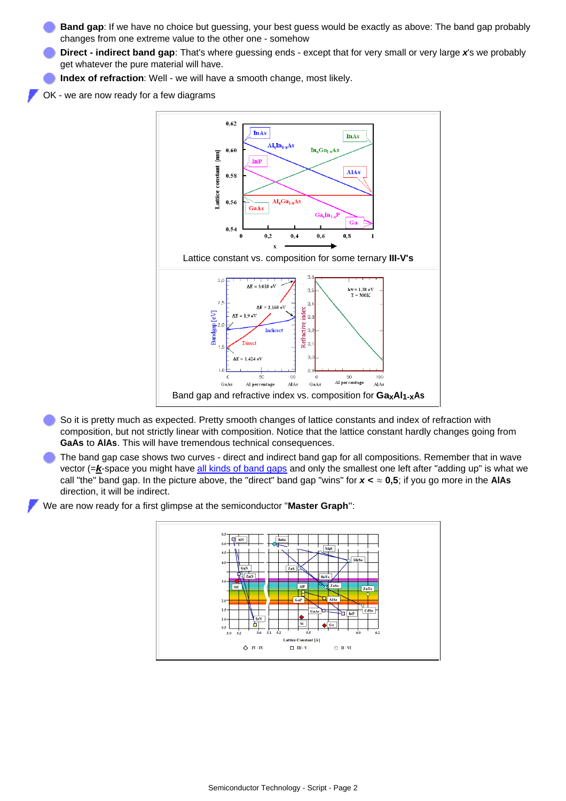- **Band gap**: If we have no choice but guessing, your best guess would be exactly as above: The band gap probably changes from one extreme value to the other one - somehow
- **Direct indirect band gap**: That's where guessing ends except that for very small or very large *x*'s we probably get whatever the pure material will have.
- **Index of refraction**: Well we will have a smooth change, most likely.
- OK we are now ready for a few diagrams



- So it is pretty much as expected. Pretty smooth changes of lattice constants and index of refraction with composition, but not strictly linear with composition. Notice that the lattice constant hardly changes going from **GaAs** to **AlAs**. This will have tremendous technical consequences.
- The band gap case shows two curves direct and indirect band gap for all compositions. Remember that in wave vector (=*k*-space you might have [all kinds of band gaps](http://www.tf.uni-kiel.de/matwis/amat/mw2_ge/kap_4/backbone/r4_2_1.html) and only the smallest one left after "adding up" is what we call "the" band gap. In the picture above, the "direct" band gap "wins" for *x* **< ≈ 0,5**; if you go more in the **AlAs** direction, it will be indirect.

We are now ready for a first glimpse at the semiconductor "**Master Graph**":

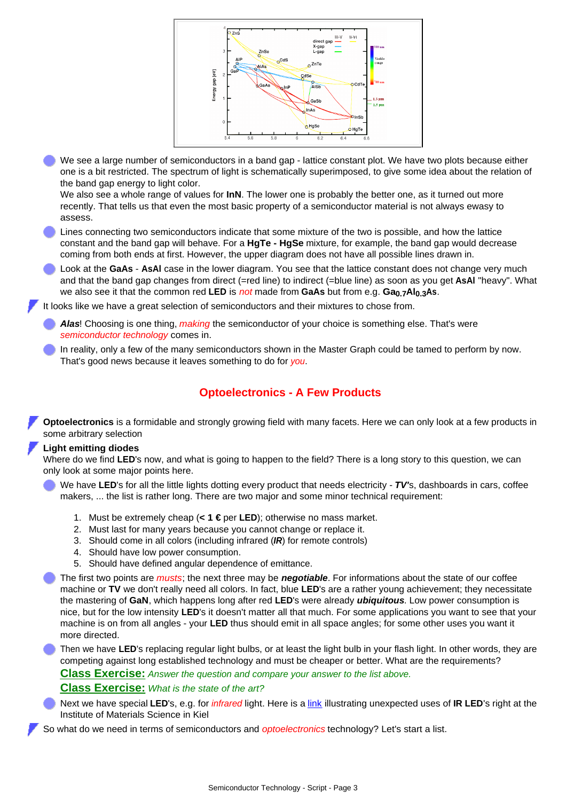

We see a large number of semiconductors in a band gap - lattice constant plot. We have two plots because either one is a bit restricted. The spectrum of light is schematically superimposed, to give some idea about the relation of the band gap energy to light color.

We also see a whole range of values for **InN**. The lower one is probably the better one, as it turned out more recently. That tells us that even the most basic property of a semiconductor material is not always ewasy to assess.

- Lines connecting two semiconductors indicate that some mixture of the two is possible, and how the lattice constant and the band gap will behave. For a **HgTe - HgSe** mixture, for example, the band gap would decrease coming from both ends at first. However, the upper diagram does not have all possible lines drawn in.
- Look at the **GaAs AsAl** case in the lower diagram. You see that the lattice constant does not change very much and that the band gap changes from direct (=red line) to indirect (=blue line) as soon as you get **AsAl** "heavy". What we also see it that the common red **LED** is *not* made from **GaAs** but from e.g. **Ga0.7Al0.3As**.

It looks like we have a great selection of semiconductors and their mixtures to chose from.

- *Alas*! Choosing is one thing, *making* the semiconductor of your choice is something else. That's were *semiconductor technology* comes in.
- In reality, only a few of the many semiconductors shown in the Master Graph could be tamed to perform by now. That's good news because it leaves something to do for *you*.

## **Optoelectronics - A Few Products**

**Optoelectronics** is a formidable and strongly growing field with many facets. Here we can only look at a few products in some arbitrary selection

#### **Light emitting diodes**

Where do we find **LED**'s now, and what is going to happen to the field? There is a long story to this question, we can only look at some major points here.

- We have LED's for all the little lights dotting every product that needs electricity *TV's*, dashboards in cars, coffee makers, ... the list is rather long. There are two major and some minor technical requirement:
	- 1. Must be extremely cheap (**< 1 €** per **LED**); otherwise no mass market.
	- 2. Must last for many years because you cannot change or replace it.
	- 3. Should come in all colors (including infrared (*IR*) for remote controls)
	- 4. Should have low power consumption.
	- 5. Should have defined angular dependence of emittance.
- The first two points are *musts*; the next three may be *negotiable*. For informations about the state of our coffee machine or **TV** we don't really need all colors. In fact, blue **LED**'s are a rather young achievement; they necessitate the mastering of **GaN**, which happens long after red **LED**'s were already *ubiquitous*. Low power consumption is nice, but for the low intensity **LED**'s it doesn't matter all that much. For some applications you want to see that your machine is on from all angles - your **LED** thus should emit in all space angles; for some other uses you want it more directed.

Then we have **LED**'s replacing regular light bulbs, or at least the light bulb in your flash light. In other words, they are competing against long established technology and must be cheaper or better. What are the requirements? **[Class Exercise:](http://www.tf.uni-kiel.de/matwis/amat/semitech_en/kap_2/exercise/q2_3_1.html)** *Answer the question and compare your answer to the list above.* **[Class Exercise:](http://www.tf.uni-kiel.de/matwis/amat/semitech_en/kap_2/exercise/q2_3_1.html)** *What is the state of the art?*

- Next we have special **LED**'s, e.g. for *infrared* light. Here is a [link](http://www.et-te.com/products/illumination_arrays.html) illustrating unexpected uses of **IR LED**'s right at the Institute of Materials Science in Kiel
- So what do we need in terms of semiconductors and *optoelectronics* technology? Let's start a list.